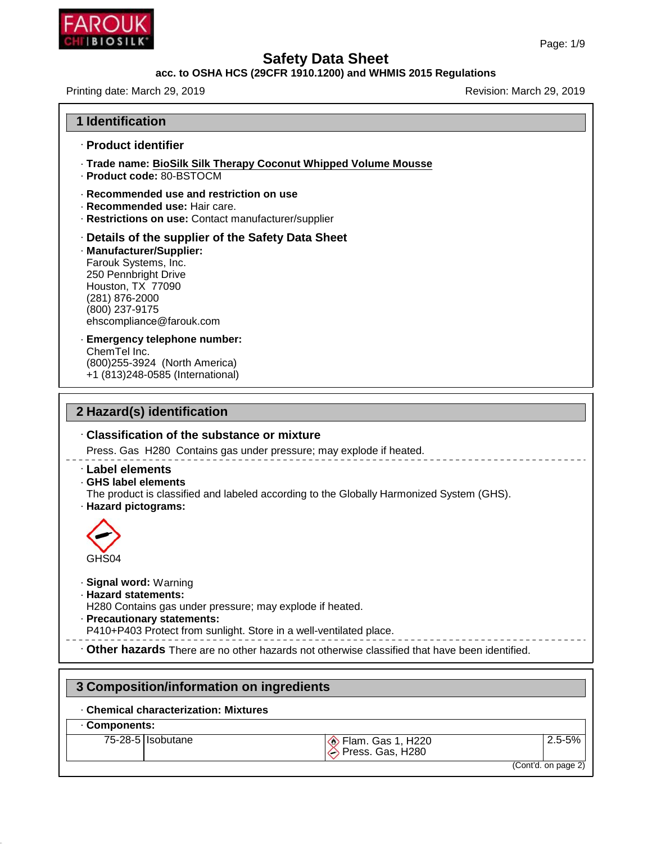

|                                                                                                                                                                                                                     | Page: 1/9                      |
|---------------------------------------------------------------------------------------------------------------------------------------------------------------------------------------------------------------------|--------------------------------|
| <b>Safety Data Sheet</b>                                                                                                                                                                                            |                                |
| acc. to OSHA HCS (29CFR 1910.1200) and WHMIS 2015 Regulations                                                                                                                                                       |                                |
| Printing date: March 29, 2019                                                                                                                                                                                       | Revision: March 29, 2019       |
| <b>1 Identification</b>                                                                                                                                                                                             |                                |
| · Product identifier                                                                                                                                                                                                |                                |
| · Trade name: BioSilk Silk Therapy Coconut Whipped Volume Mousse<br>· Product code: 80-BSTOCM                                                                                                                       |                                |
| Recommended use and restriction on use<br>· Recommended use: Hair care.<br>· Restrictions on use: Contact manufacturer/supplier                                                                                     |                                |
| · Details of the supplier of the Safety Data Sheet<br>· Manufacturer/Supplier:<br>Farouk Systems, Inc.<br>250 Pennbright Drive<br>Houston, TX 77090<br>(281) 876-2000<br>(800) 237-9175<br>ehscompliance@farouk.com |                                |
| · Emergency telephone number:<br>ChemTel Inc.<br>(800) 255-3924 (North America)<br>+1 (813)248-0585 (International)                                                                                                 |                                |
| 2 Hazard(s) identification                                                                                                                                                                                          |                                |
| Classification of the substance or mixture                                                                                                                                                                          |                                |
| Press. Gas H280 Contains gas under pressure; may explode if heated.                                                                                                                                                 |                                |
| · Label elements<br>· GHS label elements<br>The product is classified and labeled according to the Globally Harmonized System (GHS).<br>· Hazard pictograms:                                                        |                                |
| GHS04                                                                                                                                                                                                               |                                |
| · Signal word: Warning<br>· Hazard statements:<br>H280 Contains gas under pressure; may explode if heated.<br>· Precautionary statements:<br>P410+P403 Protect from sunlight. Store in a well-ventilated place.     |                                |
| . Other hazards There are no other hazards not otherwise classified that have been identified.                                                                                                                      |                                |
| 3 Composition/information on ingredients                                                                                                                                                                            |                                |
|                                                                                                                                                                                                                     |                                |
| <b>Chemical characterization: Mixtures</b><br>Components:                                                                                                                                                           |                                |
|                                                                                                                                                                                                                     |                                |
| 75-28-5 Sobutane<br>Elam. Gas 1, H220                                                                                                                                                                               | $2.5 - 5%$<br>Press. Gas, H280 |

# · **Chemical characterization: Mixtures**

#### · **Components:**

48.0

|  | -28-5   Isobutane |
|--|-------------------|
|--|-------------------|

| Flam. Gas 1, H22   |  |  |
|--------------------|--|--|
|                    |  |  |
| △ Press, Gas, H280 |  |  |
|                    |  |  |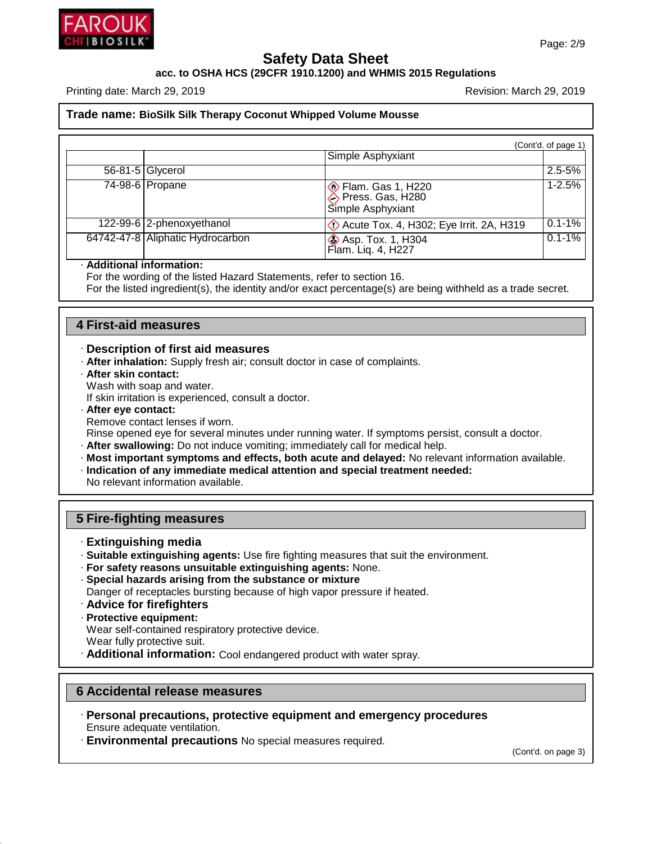

**acc. to OSHA HCS (29CFR 1910.1200) and WHMIS 2015 Regulations**

Printing date: March 29, 2019 **Printing date: March 29, 2019** Revision: March 29, 2019

#### **Trade name: BioSilk Silk Therapy Coconut Whipped Volume Mousse**

|                                  |                                                                       | (Cont'd. of page 1) |
|----------------------------------|-----------------------------------------------------------------------|---------------------|
|                                  | Simple Asphyxiant                                                     |                     |
| 56-81-5 Glycerol                 |                                                                       | $2.5 - 5%$          |
| 74-98-6 Propane                  | <b>◆</b> Flam. Gas 1, H220<br>◆ Press. Gas, H280<br>Simple Asphyxiant | $1 - 2.5%$          |
| 122-99-6 2-phenoxyethanol        | De Acute Tox. 4, H302; Eye Irrit. 2A, H319                            | $0.1 - 1%$          |
| 64742-47-8 Aliphatic Hydrocarbon | <b>&amp; Asp. Tox. 1, H304</b><br>Flam. Liq. 4, H227                  | $0.1 - 1%$          |

#### · **Additional information:**

For the wording of the listed Hazard Statements, refer to section 16.

For the listed ingredient(s), the identity and/or exact percentage(s) are being withheld as a trade secret.

#### **4 First-aid measures**

#### · **Description of first aid measures**

- · **After inhalation:** Supply fresh air; consult doctor in case of complaints.
- · **After skin contact:**

Wash with soap and water.

If skin irritation is experienced, consult a doctor.

· **After eye contact:**

Remove contact lenses if worn.

Rinse opened eye for several minutes under running water. If symptoms persist, consult a doctor.

- · **After swallowing:** Do not induce vomiting; immediately call for medical help.
- · **Most important symptoms and effects, both acute and delayed:** No relevant information available.

· **Indication of any immediate medical attention and special treatment needed:**

No relevant information available.

#### **5 Fire-fighting measures**

- · **Extinguishing media**
- · **Suitable extinguishing agents:** Use fire fighting measures that suit the environment.
- · **For safety reasons unsuitable extinguishing agents:** None.
- · **Special hazards arising from the substance or mixture**
- Danger of receptacles bursting because of high vapor pressure if heated.
- · **Advice for firefighters**
- · **Protective equipment:**

Wear self-contained respiratory protective device.

Wear fully protective suit.

48.0

· **Additional information:** Cool endangered product with water spray.

#### **6 Accidental release measures**

- · **Personal precautions, protective equipment and emergency procedures** Ensure adequate ventilation.
- · **Environmental precautions** No special measures required.

(Cont'd. on page 3)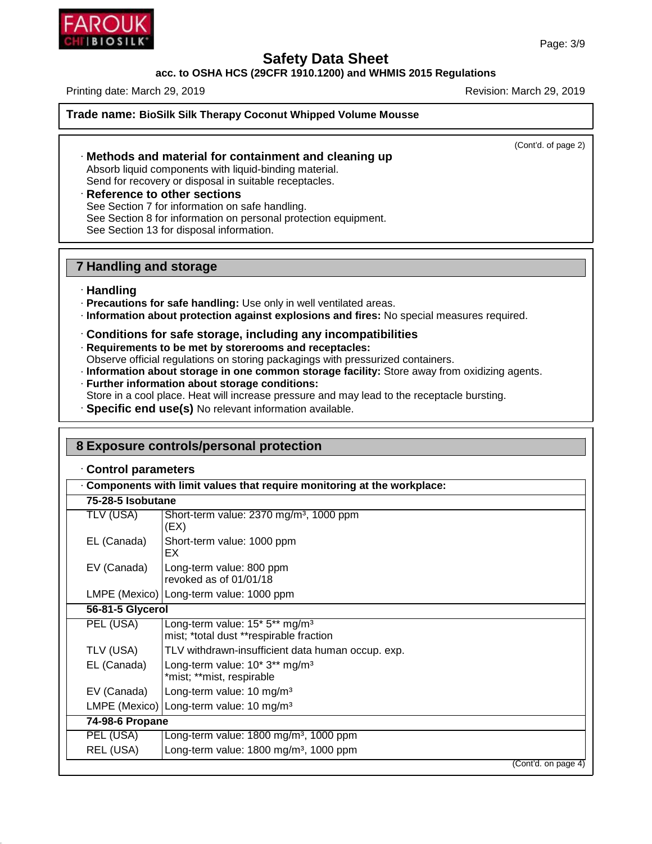**acc. to OSHA HCS (29CFR 1910.1200) and WHMIS 2015 Regulations**

Printing date: March 29, 2019 **Printing date: March 29, 2019** Revision: March 29, 2019

**Trade name: BioSilk Silk Therapy Coconut Whipped Volume Mousse**

(Cont'd. of page 2)

# · **Methods and material for containment and cleaning up**

Absorb liquid components with liquid-binding material. Send for recovery or disposal in suitable receptacles.

· **Reference to other sections** See Section 7 for information on safe handling. See Section 8 for information on personal protection equipment. See Section 13 for disposal information.

# **7 Handling and storage**

#### · **Handling**

48.0

- · **Precautions for safe handling:** Use only in well ventilated areas.
- · **Information about protection against explosions and fires:** No special measures required.

#### · **Conditions for safe storage, including any incompatibilities**

- · **Requirements to be met by storerooms and receptacles:**
- Observe official regulations on storing packagings with pressurized containers.
- · **Information about storage in one common storage facility:** Store away from oxidizing agents.
- · **Further information about storage conditions:** Store in a cool place. Heat will increase pressure and may lead to the receptacle bursting.
- · **Specific end use(s)** No relevant information available.

| Control parameters |                                                                                       |
|--------------------|---------------------------------------------------------------------------------------|
| 75-28-5 Isobutane  | Components with limit values that require monitoring at the workplace:                |
|                    |                                                                                       |
| TLV (USA)          | Short-term value: 2370 mg/m <sup>3</sup> , 1000 ppm<br>(EX)                           |
| EL (Canada)        | Short-term value: 1000 ppm<br>EX                                                      |
| EV (Canada)        | Long-term value: 800 ppm<br>revoked as of 01/01/18                                    |
|                    | LMPE (Mexico)   Long-term value: 1000 ppm                                             |
| 56-81-5 Glycerol   |                                                                                       |
| PEL (USA)          | Long-term value: 15* 5** mg/m <sup>3</sup><br>mist; *total dust **respirable fraction |
| TLV (USA)          | TLV withdrawn-insufficient data human occup. exp.                                     |
| EL (Canada)        | Long-term value: 10* 3** mg/m <sup>3</sup><br>*mist; **mist, respirable               |
| EV (Canada)        | Long-term value: 10 mg/m <sup>3</sup>                                                 |
|                    | LMPE (Mexico) Long-term value: 10 mg/m <sup>3</sup>                                   |
| 74-98-6 Propane    |                                                                                       |
| PEL (USA)          | Long-term value: 1800 mg/m <sup>3</sup> , 1000 ppm                                    |
| REL (USA)          | Long-term value: 1800 mg/m <sup>3</sup> , 1000 ppm                                    |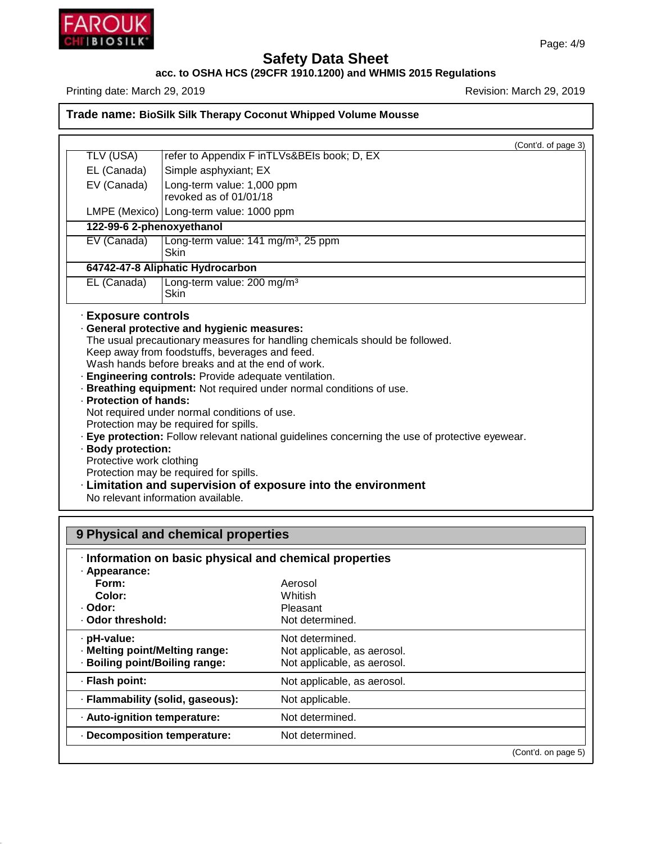

48.0

# **Safety Data Sheet**

# **acc. to OSHA HCS (29CFR 1910.1200) and WHMIS 2015 Regulations**

Printing date: March 29, 2019 **Printing date: March 29, 2019** 

# **Trade name: BioSilk Silk Therapy Coconut Whipped Volume Mousse**

| TLV (USA)                                                                | (Cont'd. of page 3)<br>refer to Appendix F inTLVs&BEIs book; D, EX                                                                                                                                                                                                                                                                                                                                                                                                                                                                                                               |
|--------------------------------------------------------------------------|----------------------------------------------------------------------------------------------------------------------------------------------------------------------------------------------------------------------------------------------------------------------------------------------------------------------------------------------------------------------------------------------------------------------------------------------------------------------------------------------------------------------------------------------------------------------------------|
| EL (Canada)                                                              | Simple asphyxiant; EX                                                                                                                                                                                                                                                                                                                                                                                                                                                                                                                                                            |
| EV (Canada)                                                              | Long-term value: 1,000 ppm                                                                                                                                                                                                                                                                                                                                                                                                                                                                                                                                                       |
|                                                                          | revoked as of 01/01/18                                                                                                                                                                                                                                                                                                                                                                                                                                                                                                                                                           |
|                                                                          | LMPE (Mexico)   Long-term value: 1000 ppm                                                                                                                                                                                                                                                                                                                                                                                                                                                                                                                                        |
| 122-99-6 2-phenoxyethanol                                                |                                                                                                                                                                                                                                                                                                                                                                                                                                                                                                                                                                                  |
| EV (Canada)                                                              | Long-term value: 141 mg/m <sup>3</sup> , 25 ppm<br>Skin                                                                                                                                                                                                                                                                                                                                                                                                                                                                                                                          |
|                                                                          | 64742-47-8 Aliphatic Hydrocarbon                                                                                                                                                                                                                                                                                                                                                                                                                                                                                                                                                 |
| EL (Canada)                                                              | Long-term value: 200 mg/m <sup>3</sup><br><b>Skin</b>                                                                                                                                                                                                                                                                                                                                                                                                                                                                                                                            |
| · Protection of hands:<br>· Body protection:<br>Protective work clothing | Keep away from foodstuffs, beverages and feed.<br>Wash hands before breaks and at the end of work.<br>· Engineering controls: Provide adequate ventilation.<br>· Breathing equipment: Not required under normal conditions of use.<br>Not required under normal conditions of use.<br>Protection may be required for spills.<br>· Eye protection: Follow relevant national guidelines concerning the use of protective eyewear.<br>Protection may be required for spills.<br>· Limitation and supervision of exposure into the environment<br>No relevant information available. |
|                                                                          | <b>9 Physical and chemical properties</b>                                                                                                                                                                                                                                                                                                                                                                                                                                                                                                                                        |
| · Appearance:<br><b>Earm.</b>                                            | Information on basic physical and chemical properties<br>$\Lambda$ organi                                                                                                                                                                                                                                                                                                                                                                                                                                                                                                        |

| · Appearance:                    |                             |                     |
|----------------------------------|-----------------------------|---------------------|
| Form:                            | Aerosol                     |                     |
| Color:                           | Whitish                     |                     |
| · Odor:                          | Pleasant                    |                     |
| . Odor threshold:                | Not determined.             |                     |
| · pH-value:                      | Not determined.             |                     |
| · Melting point/Melting range:   | Not applicable, as aerosol. |                     |
| · Boiling point/Boiling range:   | Not applicable, as aerosol. |                     |
| · Flash point:                   | Not applicable, as aerosol. |                     |
| · Flammability (solid, gaseous): | Not applicable.             |                     |
| · Auto-ignition temperature:     | Not determined.             |                     |
| Decomposition temperature:       | Not determined.             |                     |
|                                  |                             | (Cont'd. on page 5) |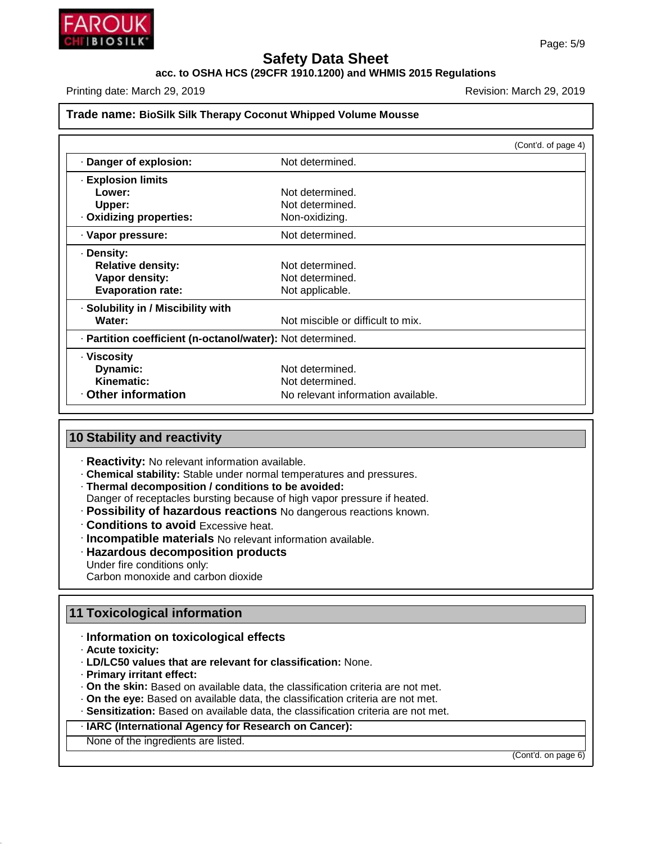

#### **acc. to OSHA HCS (29CFR 1910.1200) and WHMIS 2015 Regulations**

Printing date: March 29, 2019 **Printing date: March 29, 2019** Revision: March 29, 2019

#### **Trade name: BioSilk Silk Therapy Coconut Whipped Volume Mousse**

|                                                            |                                    | (Cont'd. of page 4) |
|------------------------------------------------------------|------------------------------------|---------------------|
| Danger of explosion:                                       | Not determined.                    |                     |
| · Explosion limits                                         |                                    |                     |
| Lower:                                                     | Not determined.                    |                     |
| Upper:                                                     | Not determined.                    |                     |
| Oxidizing properties:                                      | Non-oxidizing.                     |                     |
| · Vapor pressure:                                          | Not determined.                    |                     |
| · Density:                                                 |                                    |                     |
| <b>Relative density:</b>                                   | Not determined.                    |                     |
| Vapor density:                                             | Not determined.                    |                     |
| <b>Evaporation rate:</b>                                   | Not applicable.                    |                     |
| · Solubility in / Miscibility with                         |                                    |                     |
| Water:                                                     | Not miscible or difficult to mix.  |                     |
| · Partition coefficient (n-octanol/water): Not determined. |                                    |                     |
| · Viscosity                                                |                                    |                     |
| Dynamic:                                                   | Not determined.                    |                     |
| Kinematic:                                                 | Not determined.                    |                     |
| <b>Other information</b>                                   | No relevant information available. |                     |

## **10 Stability and reactivity**

- · **Reactivity:** No relevant information available.
- · **Chemical stability:** Stable under normal temperatures and pressures.
- · **Thermal decomposition / conditions to be avoided:**
- Danger of receptacles bursting because of high vapor pressure if heated.
- · **Possibility of hazardous reactions** No dangerous reactions known.
- · **Conditions to avoid** Excessive heat.
- · **Incompatible materials** No relevant information available.
- · **Hazardous decomposition products**
- Under fire conditions only:

Carbon monoxide and carbon dioxide

#### **11 Toxicological information**

## · **Information on toxicological effects**

· **Acute toxicity:**

48.0

- · **LD/LC50 values that are relevant for classification:** None.
- · **Primary irritant effect:**
- · **On the skin:** Based on available data, the classification criteria are not met.
- · **On the eye:** Based on available data, the classification criteria are not met.
- · **Sensitization:** Based on available data, the classification criteria are not met.

# · **IARC (International Agency for Research on Cancer):**

None of the ingredients are listed.

(Cont'd. on page 6)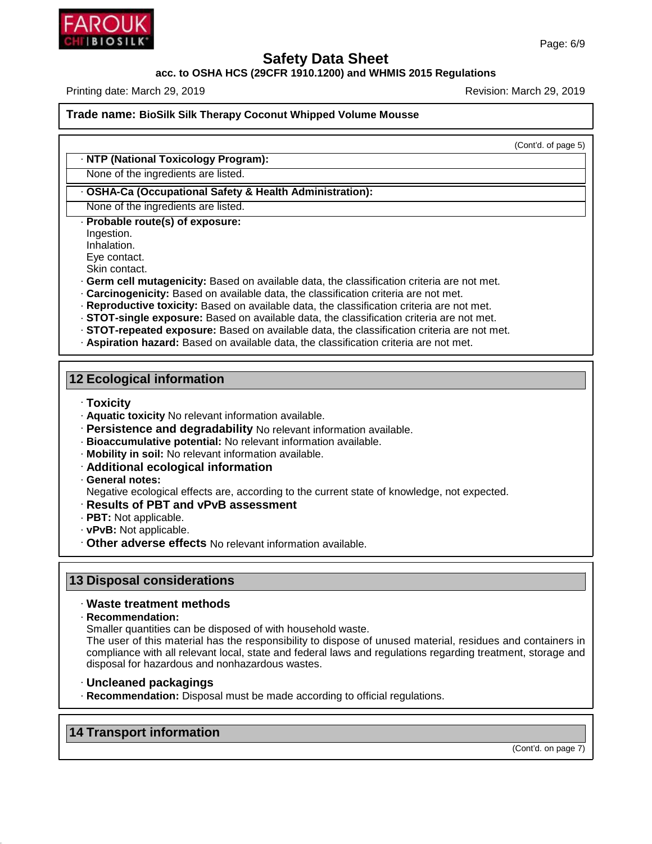

**acc. to OSHA HCS (29CFR 1910.1200) and WHMIS 2015 Regulations**

Printing date: March 29, 2019 **Printing date: March 29, 2019** Revision: March 29, 2019

**Trade name: BioSilk Silk Therapy Coconut Whipped Volume Mousse**

(Cont'd. of page 5)

#### · **NTP (National Toxicology Program):**

None of the ingredients are listed.

#### · **OSHA-Ca (Occupational Safety & Health Administration):**

None of the ingredients are listed.

· **Probable route(s) of exposure:**

Ingestion.

Inhalation.

Eye contact.

Skin contact.

- · **Germ cell mutagenicity:** Based on available data, the classification criteria are not met.
- · **Carcinogenicity:** Based on available data, the classification criteria are not met.
- · **Reproductive toxicity:** Based on available data, the classification criteria are not met.
- · **STOT-single exposure:** Based on available data, the classification criteria are not met.
- · **STOT-repeated exposure:** Based on available data, the classification criteria are not met.
- · **Aspiration hazard:** Based on available data, the classification criteria are not met.

#### **12 Ecological information**

· **Toxicity**

- · **Aquatic toxicity** No relevant information available.
- · **Persistence and degradability** No relevant information available.
- · **Bioaccumulative potential:** No relevant information available.
- · **Mobility in soil:** No relevant information available.
- · **Additional ecological information**

#### · **General notes:**

Negative ecological effects are, according to the current state of knowledge, not expected.

- · **Results of PBT and vPvB assessment**
- · **PBT:** Not applicable.
- · **vPvB:** Not applicable.
- · **Other adverse effects** No relevant information available.

## **13 Disposal considerations**

#### · **Waste treatment methods**

· **Recommendation:**

Smaller quantities can be disposed of with household waste.

The user of this material has the responsibility to dispose of unused material, residues and containers in compliance with all relevant local, state and federal laws and regulations regarding treatment, storage and disposal for hazardous and nonhazardous wastes.

- · **Uncleaned packagings**
- · **Recommendation:** Disposal must be made according to official regulations.

# **14 Transport information**

48.0

(Cont'd. on page 7)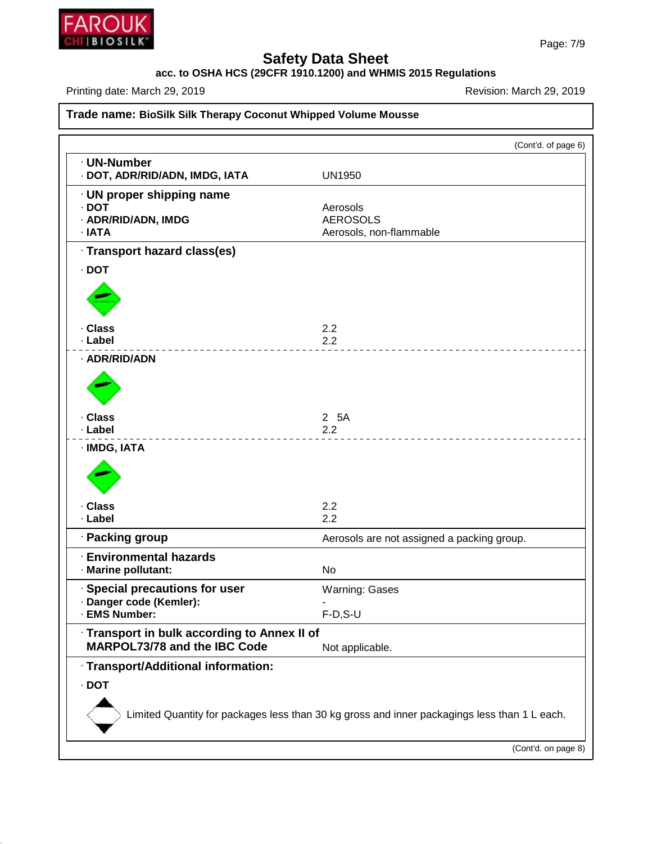

48.0

# **Safety Data Sheet**

**acc. to OSHA HCS (29CFR 1910.1200) and WHMIS 2015 Regulations**

Printing date: March 29, 2019 **Printing date: March 29, 2019** 

# **Trade name: BioSilk Silk Therapy Coconut Whipped Volume Mousse**

| · UN-Number                                  | (Cont'd. of page 6)                                                                          |
|----------------------------------------------|----------------------------------------------------------------------------------------------|
| · DOT, ADR/RID/ADN, IMDG, IATA               | <b>UN1950</b>                                                                                |
| · UN proper shipping name                    |                                                                                              |
| $\cdot$ DOT                                  | Aerosols                                                                                     |
| · ADR/RID/ADN, IMDG<br>· IATA                | <b>AEROSOLS</b><br>Aerosols, non-flammable                                                   |
|                                              |                                                                                              |
| · Transport hazard class(es)                 |                                                                                              |
| $-$ DOT                                      |                                                                                              |
|                                              |                                                                                              |
| · Class                                      | 2.2                                                                                          |
| · Label                                      | 2.2                                                                                          |
| · ADR/RID/ADN                                |                                                                                              |
|                                              |                                                                                              |
| · Class                                      | 2 5A                                                                                         |
| · Label                                      | 2.2                                                                                          |
| · IMDG, IATA                                 |                                                                                              |
|                                              |                                                                                              |
| · Class                                      | 2.2                                                                                          |
| · Label                                      | 2.2                                                                                          |
| · Packing group                              | Aerosols are not assigned a packing group.                                                   |
| <b>Environmental hazards</b>                 |                                                                                              |
| · Marine pollutant:                          | No                                                                                           |
| · Special precautions for user               | <b>Warning: Gases</b>                                                                        |
| · Danger code (Kemler):                      | ۰                                                                                            |
| · EMS Number:                                | $F-D, S-U$                                                                                   |
| · Transport in bulk according to Annex II of |                                                                                              |
| MARPOL73/78 and the IBC Code                 | Not applicable.                                                                              |
| · Transport/Additional information:          |                                                                                              |
| $\cdot$ DOT                                  |                                                                                              |
|                                              | Limited Quantity for packages less than 30 kg gross and inner packagings less than 1 L each. |
|                                              | (Cont'd. on page 8)                                                                          |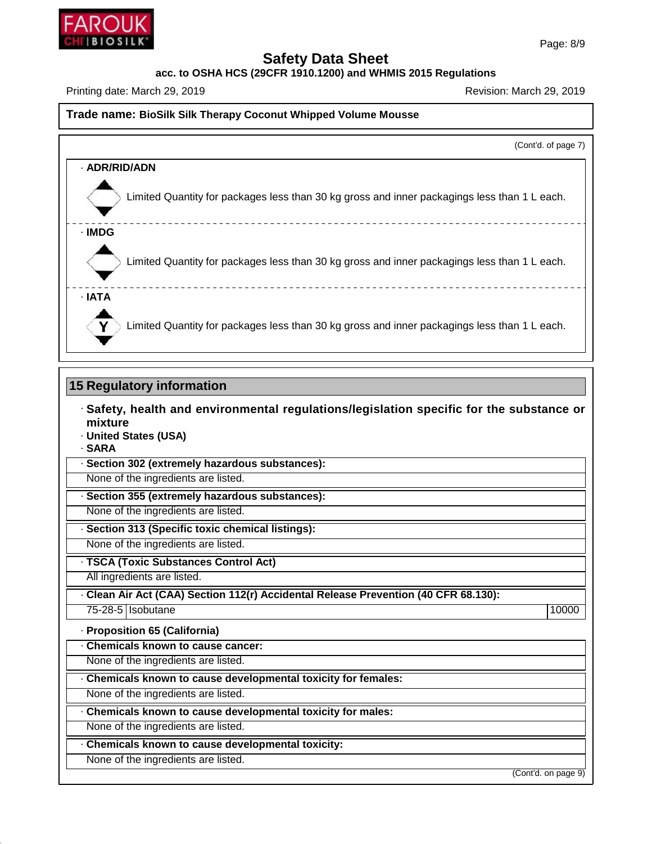

**acc. to OSHA HCS (29CFR 1910.1200) and WHMIS 2015 Regulations**

Printing date: March 29, 2019 **Printing date: March 29, 2019** Revision: March 29, 2019

#### **Trade name: BioSilk Silk Therapy Coconut Whipped Volume Mousse**

(Cont'd. of page 7)

| · ADR/RID/ADN                                                                                |  |
|----------------------------------------------------------------------------------------------|--|
| Limited Quantity for packages less than 30 kg gross and inner packagings less than 1 L each. |  |
| · IMDG                                                                                       |  |
| Limited Quantity for packages less than 30 kg gross and inner packagings less than 1 L each. |  |
| · IATA                                                                                       |  |
| Limited Quantity for packages less than 30 kg gross and inner packagings less than 1 L each. |  |

#### **15 Regulatory information**

- · **Safety, health and environmental regulations/legislation specific for the substance or mixture**
- · **United States (USA)**
- · **SARA**

· **Section 302 (extremely hazardous substances):**

None of the ingredients are listed.

· **Section 355 (extremely hazardous substances):**

None of the ingredients are listed.

· **Section 313 (Specific toxic chemical listings):**

None of the ingredients are listed.

· **TSCA (Toxic Substances Control Act)**

All ingredients are listed.

· **Clean AirAct (CAA) Section 112(r) Accidental Release Prevention (40 CFR 68.130):**

75-28-5 Isobutane 10000 | 10000 | 10000 | 10000 | 10000 | 10000 | 10000 | 10000 | 10000 | 10000 | 10000 | 1000

48.0

· **Proposition 65 (California)**

· **Chemicals known to cause cancer:**

None of the ingredients are listed.

· **Chemicals known to cause developmental toxicity for females:**

None of the ingredients are listed.

· **Chemicals known to cause developmental toxicity for males:**

None of the ingredients are listed.

· **Chemicals known to cause developmental toxicity:**

None of the ingredients are listed.

(Cont'd. on page 9)